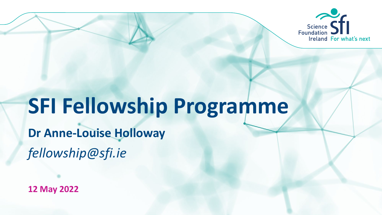

# **SFI Fellowship Programme**

*fellowship@sfi.ie* **Dr Anne-Louise Holloway**

**12 May 2022**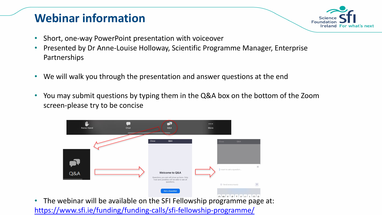#### **Webinar information**



- Short, one-way PowerPoint presentation with voiceover
- Presented by Dr Anne-Louise Holloway, Scientific Programme Manager, Enterprise Partnerships
- We will walk you through the presentation and answer questions at the end
- [You may submit questions by typing them in the Q&A box on the bottom of the Zoom](http://www.sfi.ie/funding/funding-calls/sfi-industry-fellowship-programme/)  screen-please try to be concise



• The webinar will be available on the SFI Fellowship programme page at: <https://www.sfi.ie/funding/funding-calls/sfi-fellowship-programme/>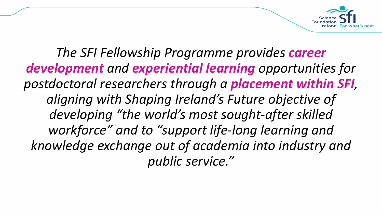

*The SFI Fellowship Programme provides career development and experiential learning opportunities for postdoctoral researchers through a placement within SFI, aligning with Shaping Ireland's Future objective of developing "the world's most sought-after skilled workforce" and to "support life-long learning and knowledge exchange out of academia into industry and public service."*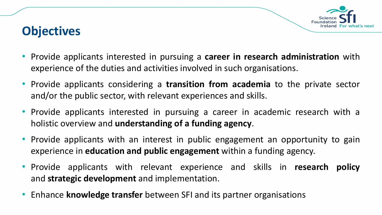

#### **Objectives**

- Provide applicants interested in pursuing a **career in research administration** with experience of the duties and activities involved in such organisations.
- Provide applicants considering a **transition from academia** to the private sector and/or the public sector, with relevant experiences and skills.
- Provide applicants interested in pursuing a career in academic research with a holistic overview and **understanding of a funding agency**.
- Provide applicants with an interest in public engagement an opportunity to gain experience in **education and public engagement** within a funding agency.
- Provide applicants with relevant experience and skills in **research policy** and **strategic development** and implementation.
- Enhance **knowledge transfer** between SFI and its partner organisations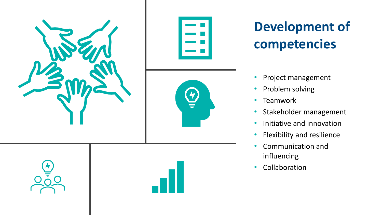

# **Development of competencies**

- Project management
- Problem solving
- Teamwork
- Stakeholder management
- Initiative and innovation
- Flexibility and resilience
- Communication and influencing
- Collaboration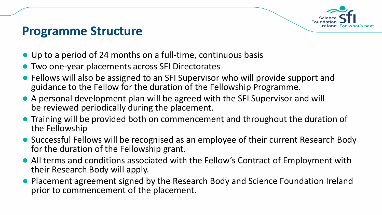

#### **Programme Structure**

- Up to a period of 24 months on a full-time, continuous basis
- Two one-year placements across SFI Directorates
- Fellows will also be assigned to an SFI Supervisor who will provide support and guidance to the Fellow for the duration of the Fellowship Programme.
- A personal development plan will be agreed with the SFI Supervisor and will be reviewed periodically during the placement.
- Training will be provided both on commencement and throughout the duration of the Fellowship
- Successful Fellows will be recognised as an employee of their current Research Body for the duration of the Fellowship grant.
- All terms and conditions associated with the Fellow's Contract of Employment with their Research Body will apply.
- Placement agreement signed by the Research Body and Science Foundation Ireland prior to commencement of the placement.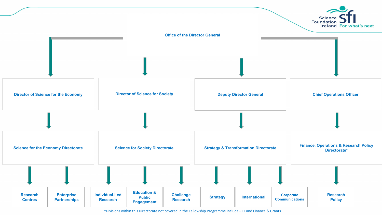

\*Divisions within this Directorate not covered in the Fellowship Programme include – IT and Finance & Grants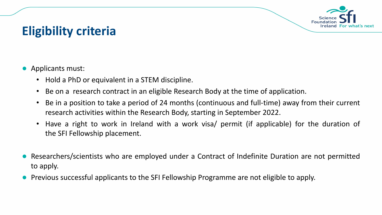

### **Eligibility criteria**

- Applicants must:
	- Hold a PhD or equivalent in a STEM discipline.
	- Be on a research contract in an eligible Research Body at the time of application.
	- Be in a position to take a period of 24 months (continuous and full-time) away from their current research activities within the Research Body, starting in September 2022.
	- Have a right to work in Ireland with a work visa/ permit (if applicable) for the duration of the SFI Fellowship placement.
- Researchers/scientists who are employed under a Contract of Indefinite Duration are not permitted to apply.
- Previous successful applicants to the SFI Fellowship Programme are not eligible to apply.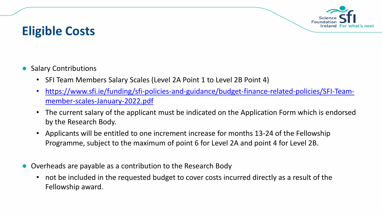

#### **Eligible Costs**

- Salary Contributions
	- SFI Team Members Salary Scales (Level 2A Point 1 to Level 2B Point 4)
	- [https://www.sfi.ie/funding/sfi-policies-and-guidance/budget-finance-related-policies/SFI-Team](https://www.sfi.ie/funding/sfi-policies-and-guidance/budget-finance-related-policies/SFI-Team-member-scales-January-2022.pdf)member-scales-January-2022.pdf
	- The current salary of the applicant must be indicated on the Application Form which is endorsed by the Research Body.
	- Applicants will be entitled to one increment increase for months 13-24 of the Fellowship Programme, subject to the maximum of point 6 for Level 2A and point 4 for Level 2B.
- Overheads are payable as a contribution to the Research Body
	- not be included in the requested budget to cover costs incurred directly as a result of the Fellowship award.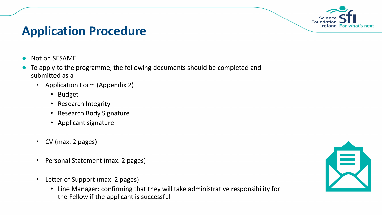

#### **Application Procedure**

- Not on SESAME
- To apply to the programme, the following documents should be completed and submitted as a
	- Application Form (Appendix 2)
		- Budget
		- Research Integrity
		- Research Body Signature
		- Applicant signature
	- CV (max. 2 pages)
	- Personal Statement (max. 2 pages)
	- Letter of Support (max. 2 pages)
		- Line Manager: confirming that they will take administrative responsibility for the Fellow if the applicant is successful

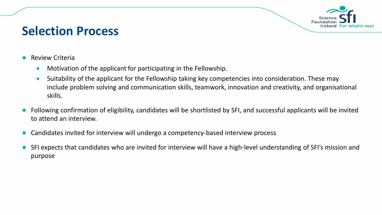

#### **Selection Process**

- **Review Criteria** 
	- Motivation of the applicant for participating in the Fellowship.
	- Suitability of the applicant for the Fellowship taking key competencies into consideration. These may include problem solving and communication skills, teamwork, innovation and creativity, and organisational skills.
- Following confirmation of eligibility, candidates will be shortlisted by SFI, and successful applicants will be invited to attend an interview.
- Candidates invited for interview will undergo a competency-based interview process
- SFI expects that candidates who are invited for interview will have a high-level understanding of SFI's mission and purpose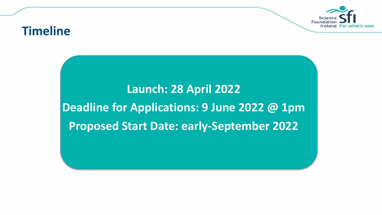

#### **Timeline**

## **Launch: 28 April 2022 Deadline for Applications: 9 June 2022 @ 1pm Proposed Start Date: early-September 2022**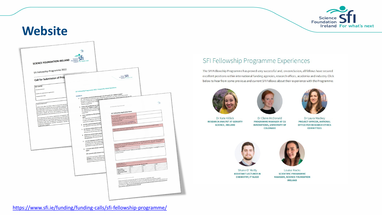

#### **Website**

| <b>SCIENCE FOUNDATION IRELAND</b> Foundation<br>SFI Fellowship Programme 2022                                                                                                                                                                                                                                                                                                                                                                                                                                                                                                                                                                                                                                                                                          | $\frac{1}{5}$ fi<br><b>Ireland For what's next</b>                                                                                                                                                                                                                                                                                                                                                                                                                                                                                                                                                                                                                                                                                                                                                                                                                                                                                                                                                                                                                                                                                                                                                                                                                                                                                                                                                                                                                                                                                                                                                                                                  |                                                                                                                                                                                                                                                                                                                                                                                                                                                                                                                                                                                                                                                                                                                                                                                                                                                                                                                                                                                                                                                                                                                                                                                                                                                                                                                                                                                                                                                                                                                                                                                                                                                                                                                                                                                                                        |
|------------------------------------------------------------------------------------------------------------------------------------------------------------------------------------------------------------------------------------------------------------------------------------------------------------------------------------------------------------------------------------------------------------------------------------------------------------------------------------------------------------------------------------------------------------------------------------------------------------------------------------------------------------------------------------------------------------------------------------------------------------------------|-----------------------------------------------------------------------------------------------------------------------------------------------------------------------------------------------------------------------------------------------------------------------------------------------------------------------------------------------------------------------------------------------------------------------------------------------------------------------------------------------------------------------------------------------------------------------------------------------------------------------------------------------------------------------------------------------------------------------------------------------------------------------------------------------------------------------------------------------------------------------------------------------------------------------------------------------------------------------------------------------------------------------------------------------------------------------------------------------------------------------------------------------------------------------------------------------------------------------------------------------------------------------------------------------------------------------------------------------------------------------------------------------------------------------------------------------------------------------------------------------------------------------------------------------------------------------------------------------------------------------------------------------------|------------------------------------------------------------------------------------------------------------------------------------------------------------------------------------------------------------------------------------------------------------------------------------------------------------------------------------------------------------------------------------------------------------------------------------------------------------------------------------------------------------------------------------------------------------------------------------------------------------------------------------------------------------------------------------------------------------------------------------------------------------------------------------------------------------------------------------------------------------------------------------------------------------------------------------------------------------------------------------------------------------------------------------------------------------------------------------------------------------------------------------------------------------------------------------------------------------------------------------------------------------------------------------------------------------------------------------------------------------------------------------------------------------------------------------------------------------------------------------------------------------------------------------------------------------------------------------------------------------------------------------------------------------------------------------------------------------------------------------------------------------------------------------------------------------------------|
| Call for Submission of Proj<br><b>KEY DATES</b><br>Call announcement<br>Deadline for submission of applications                                                                                                                                                                                                                                                                                                                                                                                                                                                                                                                                                                                                                                                        | SFI Fellowship Programme 2022- Frequently Asked Questions                                                                                                                                                                                                                                                                                                                                                                                                                                                                                                                                                                                                                                                                                                                                                                                                                                                                                                                                                                                                                                                                                                                                                                                                                                                                                                                                                                                                                                                                                                                                                                                           | Science STI                                                                                                                                                                                                                                                                                                                                                                                                                                                                                                                                                                                                                                                                                                                                                                                                                                                                                                                                                                                                                                                                                                                                                                                                                                                                                                                                                                                                                                                                                                                                                                                                                                                                                                                                                                                                            |
| Proposed Start Date<br>Terms of Reference<br>While every effort has been made to ensure the accuracy<br>for information purposes only and as a guide to expected de<br>be relied upon, as any form of warranty, representation, u<br>binding in law upon Science Foundation Ireland, the Gove<br>servants or agents. SFI Terms and Conditions of Research<br>grants and awards to the exclusion of this and any other or<br>All responses to this Call for Submission of Proposals will<br>contained therein will be communicated to any third party<br>except insofar as is specifically required for the consideration<br>required under law, including the industrial Development<br>Industrial Development (Science Foundation Ireland) (A<br>Information Act2014. | 1. I am a postdoc currently funded through a non-SFI award, am I eligible to apply?<br>r unt u prosesse correntry puneres innought o non-zer betwee, unt i enginee to opper r<br>Yes. Post-doctoral researchers with a STEM PhD qualification, no matter where their current<br><b>ELIGIBILTY</b><br>Tes. Post-ookste in receivance winn is a cen Prio guardization, no mente- winner uter variation.<br>funding is coming from, are eligible to apply. However, in particular, where funded through non-SFL<br>awards, it is expected that research<br>research programme<br>2. I hold a PhD qualification but am r<br>contract, am I eligible to apply?<br>No. Applicants must currently be e<br>It is expected that researchers will<br>programme.<br>3. I have submitted my PhD and have<br>Yes. If you have successfully defen<br>to apply, provided you meet the ot<br>contract by an eligible Research Bo<br>4. Are PhD students funded through<br>No. Applicants must have obtained<br>5. Are Research Fellows (level 3 or at<br>Yes, however, salary contributions<br>28 Point 4 on the SFI Team Membe<br>6. What if my contract expires betwi<br>Applicants are required to be on co<br>the application; the contract does<br>7. I am also applying to another SFI F<br>Candidates who have an applicatio<br>programmes (i.e., SFI Industry RD&<br>permitted to accept both awards if<br>8. I currently hold a Stamp 1 and hav<br>apply?<br>OR I currently hold a Stamp 4, am<br>Applicants must have a right to wo<br>duration of the SFI Fellowship place<br>the duration of the Fellowship, ple<br>Research Body to discuss all issues | $\frac{1}{5}$ fi<br>SFI Fellowship Programme 2022<br>SFI Fellowship Application Form<br>Name of Applicant:<br>Do you have a right to work in Ireland, with a work<br>visa/permit (if applicable), for the full duration of<br>the Fellowship? (Y/N)<br>Should you be successful, are you in a position to<br>start the Fellowship during September 2022? (Y/N)<br>Please outline any actual or potential conflict of interest that may arise if you are successful in being<br>appointed to a Fellowship position within \$FI.<br>Presse answer the following statement by placing an X in the appropriate box: "At no time has an allegation<br>reade answer the tonowing steeleners by plating en x in the appropriate coc. In rio similate an analysmot<br>of research missonduct been upheld against me, nor am I aware of any current allegation, investigation or<br>enquiry in this regard."<br>intentment<br>If you have answered "incorrect", please provide details in writing of the allegation / investigation / enquiry,<br>Correct<br>Incorrect<br>and the outcome.<br>Current Salary: C<br>mher Scale<br>Total<br>Please indicate the point requested on the SFI Team M<br>Year <sub>2</sub><br>Gross Salary<br><b>Employee PRSI</b><br>20% pension charge<br>Total<br>- Presse note that the proposes start oste tor the fenousnip is september 2022.<br>- Federe to complete this self-declaration will regular the association being declared intelligible; J.A. Pont 1<br>- Federe to complete this sel<br>- sequents must angly wan toe agonomiste point on the set i earn welmules source subset during a revision is co<br>Level 28 Point 4) <u>https://www.st.i.er/wellow.https://web/2001-2004-subset/line/act-linews.er/elated-point/es/</u><br>Team-member-scales-effective-lanuary-2022.pdf |

#### SFI Fellowship Programme Experiences

The SFI Fellowship Programme has proved very successful and, on conclusion, all fellows have secured excellent positions within international funding agencies, research offices, academia and industry. Click below to hear from some previous and current SFI Fellows about their experience with the Programme:







Dr Claire McDonald **PROGRAMME MANAGER AT CU INNOVATIONS, UNIVERSITY OF** COLORADO



Dr Laura Mackey PROJECT OFFICER, NATIONAL **OFFICE FOR RESEARCH ETHICS COMMITTEES** 





**Louise Rocks SCIENTIFIC PROGRAMME MANAGER, SCIENCE FOUNDATION IRELAND**